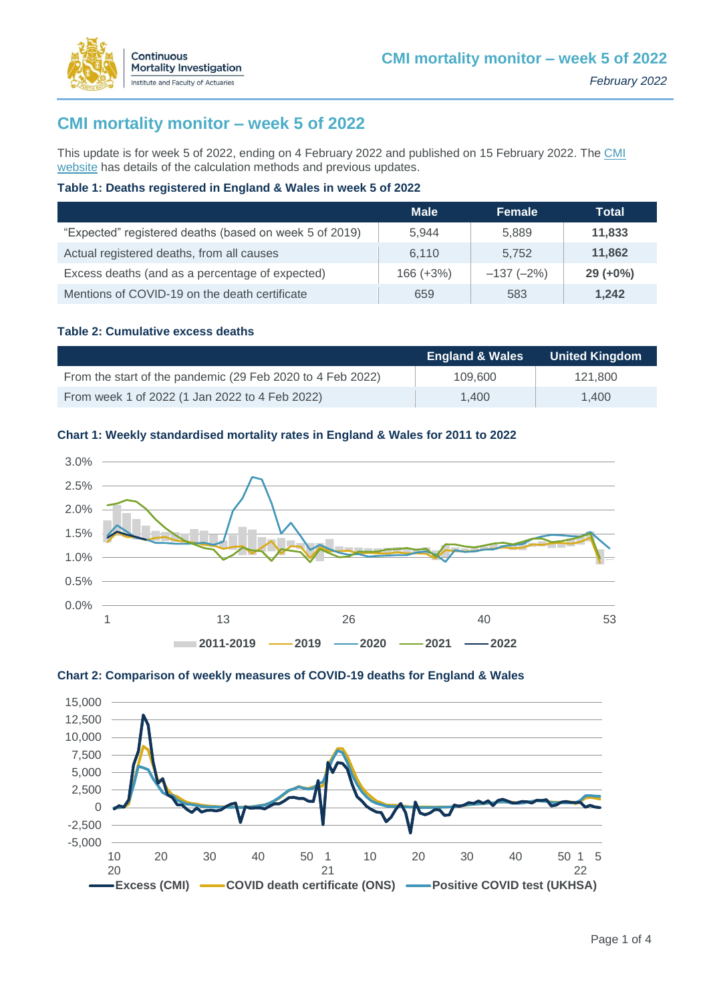

This update is for week 5 of 2022, ending on 4 February 2022 and published on 15 February 2022. The [CMI](https://www.actuaries.org.uk/learn-and-develop/continuous-mortality-investigation/other-cmi-outputs/mortality-monitor)  [website](https://www.actuaries.org.uk/learn-and-develop/continuous-mortality-investigation/other-cmi-outputs/mortality-monitor) has details of the calculation methods and previous updates.

### **Table 1: Deaths registered in England & Wales in week 5 of 2022**

|                                                        | <b>Male</b> | <b>Female</b> | Total       |
|--------------------------------------------------------|-------------|---------------|-------------|
| "Expected" registered deaths (based on week 5 of 2019) | 5.944       | 5.889         | 11,833      |
| Actual registered deaths, from all causes              | 6.110       | 5.752         | 11,862      |
| Excess deaths (and as a percentage of expected)        | $166 (+3%)$ | $-137(-2%)$   | $29 (+0\%)$ |
| Mentions of COVID-19 on the death certificate          | 659         | 583           | 1,242       |

### **Table 2: Cumulative excess deaths**

Continuous

**Mortality Investigation** Institute and Faculty of Actuaries

|                                                            | <b>England &amp; Wales</b> | <b>United Kingdom</b> |
|------------------------------------------------------------|----------------------------|-----------------------|
| From the start of the pandemic (29 Feb 2020 to 4 Feb 2022) | 109,600                    | 121.800               |
| From week 1 of 2022 (1 Jan 2022 to 4 Feb 2022)             | 1.400                      | 1.400                 |

#### **Chart 1: Weekly standardised mortality rates in England & Wales for 2011 to 2022**





### **Chart 2: Comparison of weekly measures of COVID-19 deaths for England & Wales**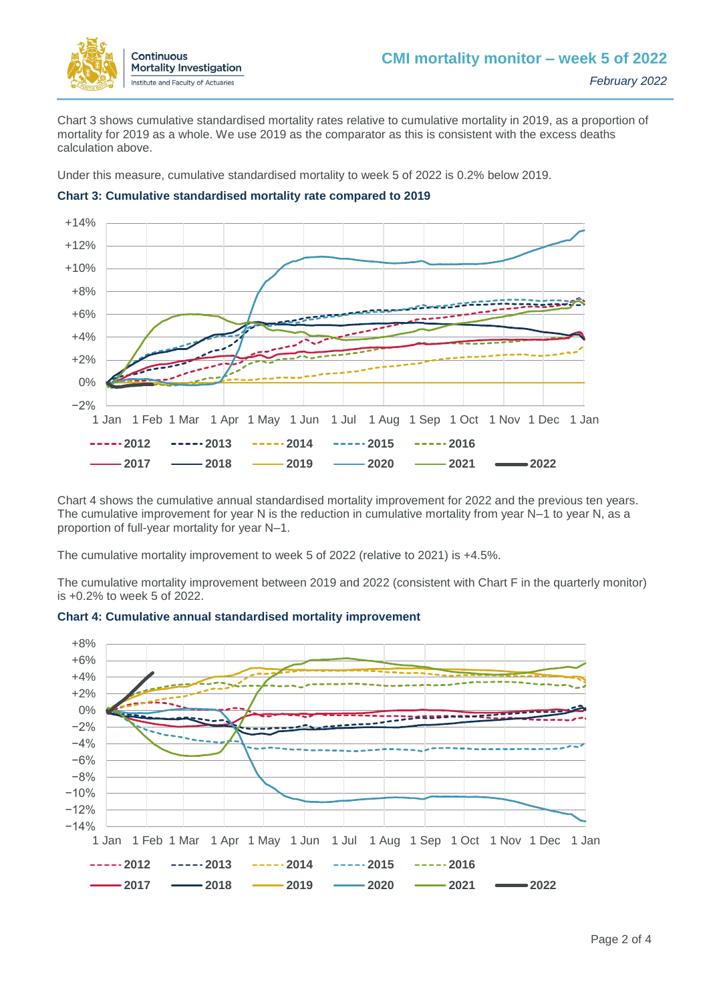

Chart 3 shows cumulative standardised mortality rates relative to cumulative mortality in 2019, as a proportion of mortality for 2019 as a whole. We use 2019 as the comparator as this is consistent with the excess deaths calculation above.

Under this measure, cumulative standardised mortality to week 5 of 2022 is 0.2% below 2019.



### **Chart 3: Cumulative standardised mortality rate compared to 2019**

Chart 4 shows the cumulative annual standardised mortality improvement for 2022 and the previous ten years. The cumulative improvement for year N is the reduction in cumulative mortality from year N–1 to year N, as a proportion of full-year mortality for year N–1.

The cumulative mortality improvement to week 5 of 2022 (relative to 2021) is +4.5%.

The cumulative mortality improvement between 2019 and 2022 (consistent with Chart F in the quarterly monitor) is +0.2% to week 5 of 2022.



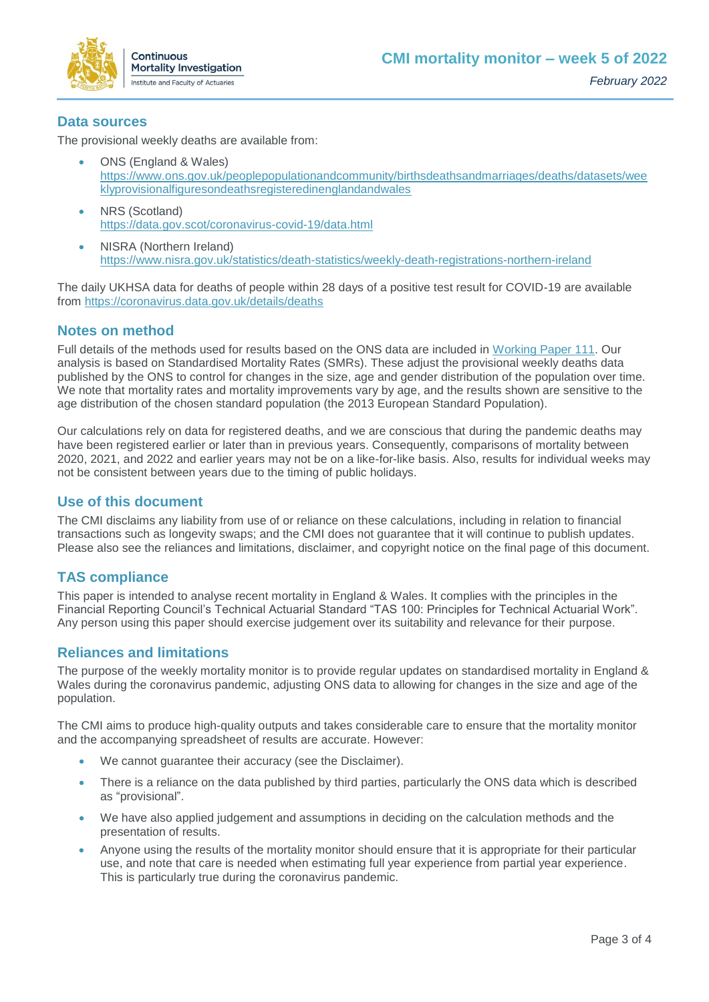

## **Data sources**

The provisional weekly deaths are available from:

- ONS (England & Wales) [https://www.ons.gov.uk/peoplepopulationandcommunity/birthsdeathsandmarriages/deaths/datasets/wee](https://www.ons.gov.uk/peoplepopulationandcommunity/birthsdeathsandmarriages/deaths/datasets/weeklyprovisionalfiguresondeathsregisteredinenglandandwales) [klyprovisionalfiguresondeathsregisteredinenglandandwales](https://www.ons.gov.uk/peoplepopulationandcommunity/birthsdeathsandmarriages/deaths/datasets/weeklyprovisionalfiguresondeathsregisteredinenglandandwales)
- NRS (Scotland) <https://data.gov.scot/coronavirus-covid-19/data.html>
- NISRA (Northern Ireland) <https://www.nisra.gov.uk/statistics/death-statistics/weekly-death-registrations-northern-ireland>

The daily UKHSA data for deaths of people within 28 days of a positive test result for COVID-19 are available from<https://coronavirus.data.gov.uk/details/deaths>

# **Notes on method**

Full details of the methods used for results based on the ONS data are included in [Working Paper 111.](https://www.actuaries.org.uk/learn-and-develop/continuous-mortality-investigation/cmi-working-papers/mortality-projections/cmi-working-paper-111) Our analysis is based on Standardised Mortality Rates (SMRs). These adjust the provisional weekly deaths data published by the ONS to control for changes in the size, age and gender distribution of the population over time. We note that mortality rates and mortality improvements vary by age, and the results shown are sensitive to the age distribution of the chosen standard population (the 2013 European Standard Population).

Our calculations rely on data for registered deaths, and we are conscious that during the pandemic deaths may have been registered earlier or later than in previous years. Consequently, comparisons of mortality between 2020, 2021, and 2022 and earlier years may not be on a like-for-like basis. Also, results for individual weeks may not be consistent between years due to the timing of public holidays.

## **Use of this document**

The CMI disclaims any liability from use of or reliance on these calculations, including in relation to financial transactions such as longevity swaps; and the CMI does not guarantee that it will continue to publish updates. Please also see the reliances and limitations, disclaimer, and copyright notice on the final page of this document.

# **TAS compliance**

This paper is intended to analyse recent mortality in England & Wales. It complies with the principles in the Financial Reporting Council's Technical Actuarial Standard "TAS 100: Principles for Technical Actuarial Work". Any person using this paper should exercise judgement over its suitability and relevance for their purpose.

# **Reliances and limitations**

The purpose of the weekly mortality monitor is to provide regular updates on standardised mortality in England & Wales during the coronavirus pandemic, adjusting ONS data to allowing for changes in the size and age of the population.

The CMI aims to produce high-quality outputs and takes considerable care to ensure that the mortality monitor and the accompanying spreadsheet of results are accurate. However:

- We cannot guarantee their accuracy (see the Disclaimer).
- There is a reliance on the data published by third parties, particularly the ONS data which is described as "provisional".
- We have also applied judgement and assumptions in deciding on the calculation methods and the presentation of results.
- Anyone using the results of the mortality monitor should ensure that it is appropriate for their particular use, and note that care is needed when estimating full year experience from partial year experience. This is particularly true during the coronavirus pandemic.